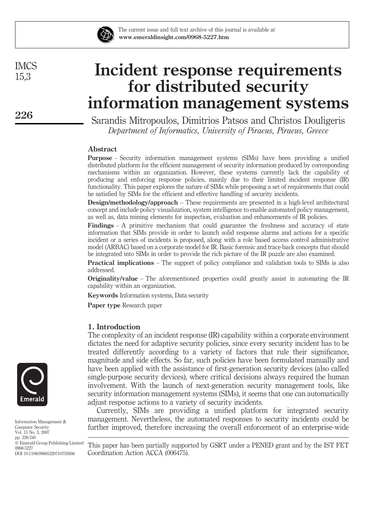

The current issue and full text archive of this journal is available at www.emeraldinsight.com/0968-5227.htm

# Incident response requirements for distributed security information management systems

Sarandis Mitropoulos, Dimitrios Patsos and Christos Douligeris Department of Informatics, University of Piraeus, Piraeus, Greece

#### Abstract

Purpose – Security information management systems (SIMs) have been providing a unified distributed platform for the efficient management of security information produced by corresponding mechanisms within an organization. However, these systems currently lack the capability of producing and enforcing response policies, mainly due to their limited incident response (IR) functionality. This paper explores the nature of SIMs while proposing a set of requirements that could be satisfied by SIMs for the efficient and effective handling of security incidents.

Design/methodology/approach – These requirements are presented in a high-level architectural concept and include policy visualization, system intelligence to enable automated policy management, as well as, data mining elements for inspection, evaluation and enhancements of IR policies.

Findings – A primitive mechanism that could guarantee the freshness and accuracy of state information that SIMs provide in order to launch solid response alarms and actions for a specific incident or a series of incidents is proposed, along with a role based access control administrative model (ARBAC) based on a corporate model for IR. Basic forensic and trace-back concepts that should be integrated into SIMs in order to provide the rich picture of the IR puzzle are also examined.

Practical implications – The support of policy compliance and validation tools to SIMs is also addressed.

**Originality/value** – The aforementioned properties could greatly assist in automating the IR capability within an organization.

Keywords Information systems, Data security

Paper type Research paper

#### 1. Introduction

The complexity of an incident response (IR) capability within a corporate environment dictates the need for adaptive security policies, since every security incident has to be treated differently according to a variety of factors that rule their significance, magnitude and side effects. So far, such policies have been formulated manually and have been applied with the assistance of first-generation security devices (also called single-purpose security devices), where critical decisions always required the human involvement. With the launch of next-generation security management tools, like security information management systems (SIMs), it seems that one can automatically adjust response actions to a variety of security incidents.

Currently, SIMs are providing a unified platform for integrated security management. Nevertheless, the automated responses to security incidents could be further improved, therefore increasing the overall enforcement of an enterprise-wide

This paper has been partially supported by GSRT under a PENED grant and by the IST FET Coordination Action ACCA (006475).



Information Management & Computer Security Vol. 15 No. 3, 2007 pp. 226-240 **C** Emerald Group Publishing Limited 0968-5227 DOI 10.1108/09685220710759568

IMCS 15,3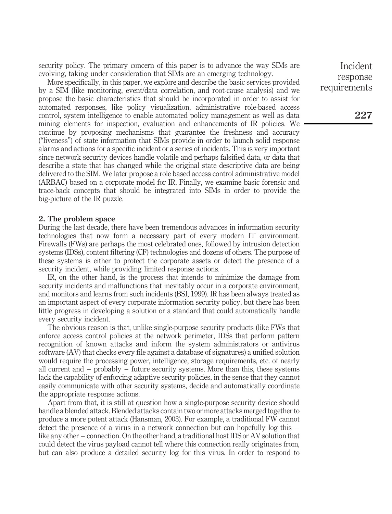security policy. The primary concern of this paper is to advance the way SIMs are evolving, taking under consideration that SIMs are an emerging technology.

More specifically, in this paper, we explore and describe the basic services provided by a SIM (like monitoring, event/data correlation, and root-cause analysis) and we propose the basic characteristics that should be incorporated in order to assist for automated responses, like policy visualization, administrative role-based access control, system intelligence to enable automated policy management as well as data mining elements for inspection, evaluation and enhancements of IR policies. We continue by proposing mechanisms that guarantee the freshness and accuracy ("liveness") of state information that SIMs provide in order to launch solid response alarms and actions for a specific incident or a series of incidents. This is very important since network security devices handle volatile and perhaps falsified data, or data that describe a state that has changed while the original state descriptive data are being delivered to the SIM. We later propose a role based access control administrative model (ARBAC) based on a corporate model for IR. Finally, we examine basic forensic and trace-back concepts that should be integrated into SIMs in order to provide the big-picture of the IR puzzle.

#### 2. The problem space

During the last decade, there have been tremendous advances in information security technologies that now form a necessary part of every modern IT environment. Firewalls (FWs) are perhaps the most celebrated ones, followed by intrusion detection systems (IDSs), content filtering (CF) technologies and dozens of others. The purpose of these systems is either to protect the corporate assets or detect the presence of a security incident, while providing limited response actions.

IR, on the other hand, is the process that intends to minimize the damage from security incidents and malfunctions that inevitably occur in a corporate environment, and monitors and learns from such incidents (BSI, 1999). IR has been always treated as an important aspect of every corporate information security policy, but there has been little progress in developing a solution or a standard that could automatically handle every security incident.

The obvious reason is that, unlike single-purpose security products (like FWs that enforce access control policies at the network perimeter, IDSs that perform pattern recognition of known attacks and inform the system administrators or antivirus software (AV) that checks every file against a database of signatures) a unified solution would require the processing power, intelligence, storage requirements, etc. of nearly all current and  $-$  probably  $-$  future security systems. More than this, these systems lack the capability of enforcing adaptive security policies, in the sense that they cannot easily communicate with other security systems, decide and automatically coordinate the appropriate response actions.

Apart from that, it is still at question how a single-purpose security device should handle a blended attack. Blended attacks contain two or more attacks merged together to produce a more potent attack (Hansman, 2003). For example, a traditional FW cannot detect the presence of a virus in a network connection but can hopefully log this – like any other – connection. On the other hand, a traditional host IDS or AV solution that could detect the virus payload cannot tell where this connection really originates from, but can also produce a detailed security log for this virus. In order to respond to

Incident response requirements

227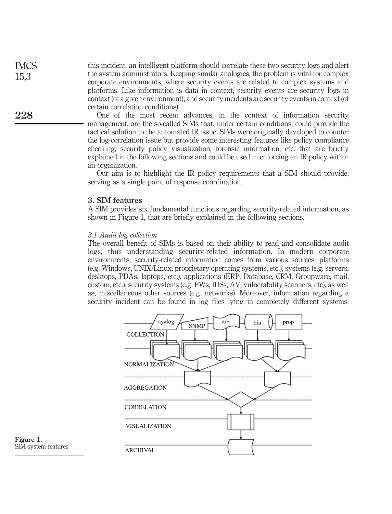this incident, an intelligent platform should correlate these two security logs and alert the system administrators. Keeping similar analogies, the problem is vital for complex corporate environments, where security events are related to complex systems and platforms. Like information is data in context, security events are security logs in context (of a given environment), and security incidents are security events in context (of certain correlation conditions).

One of the most recent advances, in the context of information security management, are the so-called SIMs that, under certain conditions, could provide the tactical solution to the automated IR issue. SIMs were originally developed to counter the log-correlation issue but provide some interesting features like policy compliance checking, security policy visualization, forensic information, etc. that are briefly explained in the following sections and could be used in enforcing an IR policy within an organization.

Our aim is to highlight the IR policy requirements that a SIM should provide, serving as a single point of response coordination.

## 3. SIM features

A SIM provides six fundamental functions regarding security-related information, as shown in Figure 1, that are briefly explained in the following sections.

#### 3.1 Audit log collection

The overall benefit of SIMs is based on their ability to read and consolidate audit logs, thus understanding security-related information. In modern corporate environments, security-related information comes from various sources: platforms (e.g. Windows, UNIX/Linux, proprietary operating systems, etc.), systems (e.g. servers, desktops, PDAs, laptops, etc.), applications (ERP, Database, CRM, Groupware, mail, custom, etc.), security systems (e.g. FWs, IDSs, AV, vulnerability scanners, etc), as well as, miscellaneous other sources (e.g. networks). Moreover, information regarding a security incident can be found in log files lying in completely different systems.





IMCS 15,3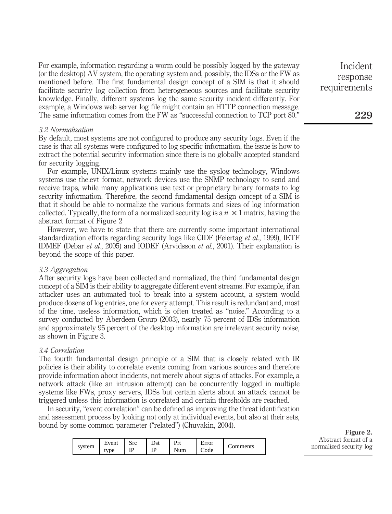For example, information regarding a worm could be possibly logged by the gateway (or the desktop) AV system, the operating system and, possibly, the IDSs or the FW as mentioned before. The first fundamental design concept of a SIM is that it should facilitate security log collection from heterogeneous sources and facilitate security knowledge. Finally, different systems log the same security incident differently. For example, a Windows web server log file might contain an HTTP connection message. The same information comes from the FW as "successful connection to TCP port 80."

# 3.2 Normalization

By default, most systems are not configured to produce any security logs. Even if the case is that all systems were configured to log specific information, the issue is how to extract the potential security information since there is no globally accepted standard for security logging.

For example, UNIX/Linux systems mainly use the syslog technology, Windows systems use the.evt format, network devices use the SNMP technology to send and receive traps, while many applications use text or proprietary binary formats to log security information. Therefore, the second fundamental design concept of a SIM is that it should be able to normalize the various formats and sizes of log information collected. Typically, the form of a normalized security log is a  $n \times 1$  matrix, having the abstract format of Figure 2

However, we have to state that there are currently some important international standardization efforts regarding security logs like CIDF (Feiertag et al., 1999), IETF IDMEF (Debar et al., 2005) and IODEF (Arvidsson et al., 2001). Their explanation is beyond the scope of this paper.

## 3.3 Aggregation

After security logs have been collected and normalized, the third fundamental design concept of a SIM is their ability to aggregate different event streams. For example, if an attacker uses an automated tool to break into a system account, a system would produce dozens of log entries, one for every attempt. This result is redundant and, most of the time, useless information, which is often treated as "noise." According to a survey conducted by Aberdeen Group (2003), nearly 75 percent of IDSs information and approximately 95 percent of the desktop information are irrelevant security noise, as shown in Figure 3.

#### 3.4 Correlation

The fourth fundamental design principle of a SIM that is closely related with IR policies is their ability to correlate events coming from various sources and therefore provide information about incidents, not merely about signs of attacks. For example, a network attack (like an intrusion attempt) can be concurrently logged in multiple systems like FWs, proxy servers, IDSs but certain alerts about an attack cannot be triggered unless this information is correlated and certain thresholds are reached.

In security, "event correlation" can be defined as improving the threat identification and assessment process by looking not only at individual events, but also at their sets, bound by some common parameter ("related") (Chuvakin, 2004).

| system | Event<br>'vpe | src<br>TD.<br> | Dst<br>TD.<br>ᅭ | $D_{\rm ext}$<br>$-11$<br>√um | error<br>ode | omments |
|--------|---------------|----------------|-----------------|-------------------------------|--------------|---------|
|--------|---------------|----------------|-----------------|-------------------------------|--------------|---------|

Figure 2. Abstract format of a normalized security log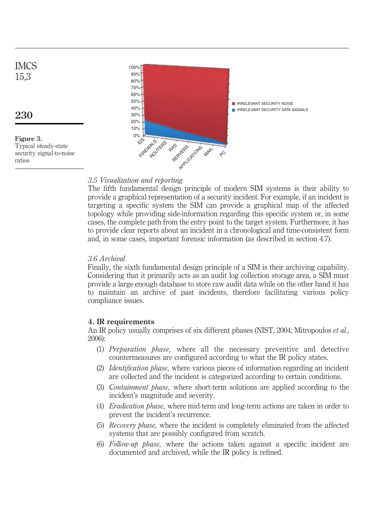

## 3.5 Visualization and reporting

The fifth fundamental design principle of modern SIM systems is their ability to provide a graphical representation of a security incident. For example, if an incident is targeting a specific system the SIM can provide a graphical map of the affected topology while providing side-information regarding this specific system or, in some cases, the complete path from the entry point to the target system. Furthermore, it has to provide clear reports about an incident in a chronological and time-consistent form and, in some cases, important forensic information (as described in section 4.7).

## 3.6 Archival

Finally, the sixth fundamental design principle of a SIM is their archiving capability. Considering that it primarily acts as an audit log collection storage area, a SIM must provide a large enough database to store raw audit data while on the other hand it has to maintain an archive of past incidents, therefore facilitating various policy compliance issues.

#### 4. IR requirements

An IR policy usually comprises of six different phases (NIST, 2004; Mitropoulos et al., 2006):

- (1) Preparation phase, where all the necessary preventive and detective countermeasures are configured according to what the IR policy states.
- (2) Identification phase, where various pieces of information regarding an incident are collected and the incident is categorized according to certain conditions.
- (3) Containment phase, where short-term solutions are applied according to the incident's magnitude and severity.
- (4) Eradication phase, where mid-term and long-term actions are taken in order to prevent the incident's recurrence.
- (5) Recovery phase, where the incident is completely eliminated from the affected systems that are possibly configured from scratch.
- (6)  $Follow-up phase$ , where the actions taken against a specific incident are documented and archived, while the IR policy is refined.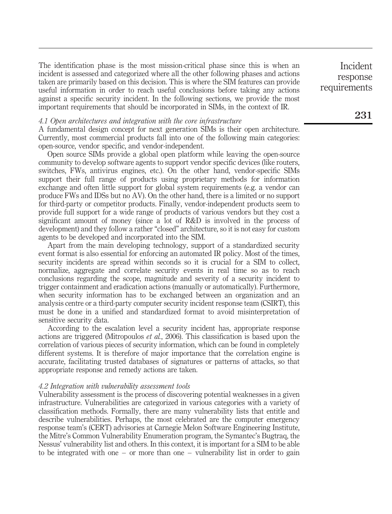The identification phase is the most mission-critical phase since this is when an incident is assessed and categorized where all the other following phases and actions taken are primarily based on this decision. This is where the SIM features can provide useful information in order to reach useful conclusions before taking any actions against a specific security incident. In the following sections, we provide the most important requirements that should be incorporated in SIMs, in the context of IR.

#### 4.1 Open architectures and integration with the core infrastructure

A fundamental design concept for next generation SIMs is their open architecture. Currently, most commercial products fall into one of the following main categories: open-source, vendor specific, and vendor-independent.

Open source SIMs provide a global open platform while leaving the open-source community to develop software agents to support vendor specific devices (like routers, switches, FWs, antivirus engines, etc.). On the other hand, vendor-specific SIMs support their full range of products using proprietary methods for information exchange and often little support for global system requirements (e.g. a vendor can produce FWs and IDSs but no AV). On the other hand, there is a limited or no support for third-party or competitor products. Finally, vendor-independent products seem to provide full support for a wide range of products of various vendors but they cost a significant amount of money (since a lot of R&D is involved in the process of development) and they follow a rather "closed" architecture, so it is not easy for custom agents to be developed and incorporated into the SIM.

Apart from the main developing technology, support of a standardized security event format is also essential for enforcing an automated IR policy. Most of the times, security incidents are spread within seconds so it is crucial for a SIM to collect, normalize, aggregate and correlate security events in real time so as to reach conclusions regarding the scope, magnitude and severity of a security incident to trigger containment and eradication actions (manually or automatically). Furthermore, when security information has to be exchanged between an organization and an analysis centre or a third-party computer security incident response team (CSIRT), this must be done in a unified and standardized format to avoid misinterpretation of sensitive security data.

According to the escalation level a security incident has, appropriate response actions are triggered (Mitropoulos et al., 2006). This classification is based upon the correlation of various pieces of security information, which can be found in completely different systems. It is therefore of major importance that the correlation engine is accurate, facilitating trusted databases of signatures or patterns of attacks, so that appropriate response and remedy actions are taken.

#### 4.2 Integration with vulnerability assessment tools

Vulnerability assessment is the process of discovering potential weaknesses in a given infrastructure. Vulnerabilities are categorized in various categories with a variety of classification methods. Formally, there are many vulnerability lists that entitle and describe vulnerabilities. Perhaps, the most celebrated are the computer emergency response team's (CERT) advisories at Carnegie Melon Software Engineering Institute, the Mitre's Common Vulnerability Enumeration program, the Symantec's Bugtraq, the Nessus' vulnerability list and others. In this context, it is important for a SIM to be able to be integrated with one – or more than one – vulnerability list in order to gain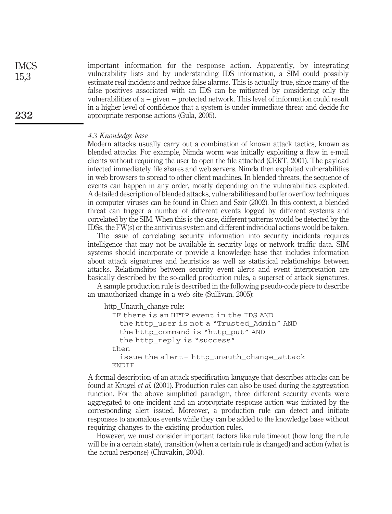important information for the response action. Apparently, by integrating vulnerability lists and by understanding IDS information, a SIM could possibly estimate real incidents and reduce false alarms. This is actually true, since many of the false positives associated with an IDS can be mitigated by considering only the vulnerabilities of a – given – protected network. This level of information could result in a higher level of confidence that a system is under immediate threat and decide for appropriate response actions (Gula, 2005).

#### 4.3 Knowledge base

IMCS 15,3

232

Modern attacks usually carry out a combination of known attack tactics, known as blended attacks. For example, Nimda worm was initially exploiting a flaw in e-mail clients without requiring the user to open the file attached (CERT, 2001). The payload infected immediately file shares and web servers. Nimda then exploited vulnerabilities in web browsers to spread to other client machines. In blended threats, the sequence of events can happen in any order, mostly depending on the vulnerabilities exploited. A detailed description of blended attacks, vulnerabilities and buffer overflow techniques in computer viruses can be found in Chien and Ször (2002). In this context, a blended threat can trigger a number of different events logged by different systems and correlated by the SIM. When this is the case, different patterns would be detected by the IDSs, the FW(s) or the antivirus system and different individual actions would be taken.

The issue of correlating security information into security incidents requires intelligence that may not be available in security logs or network traffic data. SIM systems should incorporate or provide a knowledge base that includes information about attack signatures and heuristics as well as statistical relationships between attacks. Relationships between security event alerts and event interpretation are basically described by the so-called production rules, a superset of attack signatures.

A sample production rule is described in the following pseudo-code piece to describe an unauthorized change in a web site (Sullivan, 2005):

http Unauth change rule:

```
IF there is an HTTP event in the IDS AND
 the http_user_is not a "Trusted_Admin" AND
 the http_command is "http_put" AND
 the http_reply is "success"
then
 issue the alert– http_unauth_change_attack
ENDIF
```
A formal description of an attack specification language that describes attacks can be found at Krugel et al. (2001). Production rules can also be used during the aggregation function. For the above simplified paradigm, three different security events were aggregated to one incident and an appropriate response action was initiated by the corresponding alert issued. Moreover, a production rule can detect and initiate responses to anomalous events while they can be added to the knowledge base without requiring changes to the existing production rules.

However, we must consider important factors like rule timeout (how long the rule will be in a certain state), transition (when a certain rule is changed) and action (what is the actual response) (Chuvakin, 2004).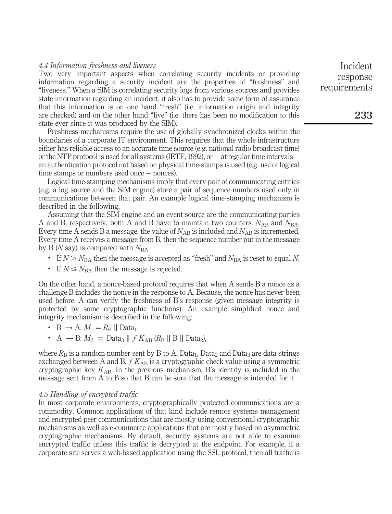#### 4.4 Information freshness and liveness

Two very important aspects when correlating security incidents or providing information regarding a security incident are the properties of "freshness" and "liveness." When a SIM is correlating security logs from various sources and provides state information regarding an incident, it also has to provide some form of assurance that this information is on one hand "fresh" (i.e. information origin and integrity are checked) and on the other hand "live" (i.e. there has been no modification to this state ever since it was produced by the SIM).

Freshness mechanisms require the use of globally synchronized clocks within the boundaries of a corporate IT environment. This requires that the whole infrastructure either has reliable access to an accurate time source (e.g. national radio broadcast time) or the NTP protocol is used for all systems (IETF, 1992), or – at regular time intervals – an authentication protocol not based on physical time-stamps is used (e.g. use of logical time stamps or numbers used once – nonces).

Logical time-stamping mechanisms imply that every pair of communicating entities (e.g. a log source and the SIM engine) store a pair of sequence numbers used only in communications between that pair. An example logical time-stamping mechanism is described in the following.

Assuming that the SIM engine and an event source are the communicating parties A and B, respectively, both A and B have to maintain two counters:  $N_{AB}$  and  $N_{BA}$ . Every time A sends B a message, the value of  $N_{AB}$  is included and  $N_{AB}$  is incremented. Every time A receives a message from B, then the sequence number put in the message by B (N say) is compared with  $N_{BA}$ :

- If  $N > N_{BA}$  then the message is accepted as "fresh" and  $N_{BA}$  is reset to equal N.
- If  $N \leq N_{BA}$  then the message is rejected.

On the other hand, a nonce-based protocol requires that when A sends B a nonce as a challenge B includes the nonce in the response to A. Because, the nonce has never been used before, A can verify the freshness of B's response (given message integrity is protected by some cryptographic functions). An example simplified nonce and integrity mechanism is described in the following:

- $\cdot$  B  $\rightarrow$  A:  $M_1 = R_B$  || Data<sub>1</sub>
- $\cdot$  A  $\rightarrow$  B:  $M_2$  = Data<sub>3</sub> || f  $K_{AB}$  ( $R_B$  || B || Data<sub>2</sub>),

where  $R_B$  is a random number sent by B to A, Data<sub>1</sub>, Data<sub>2</sub> and Data<sub>3</sub> are data strings exchanged between A and B,  $f K_{AB}$  is a cryptographic check value using a symmetric cryptographic key  $K_{AB}$ . In the previous mechanism, B's identity is included in the message sent from A to B so that B can be sure that the message is intended for it.

#### 4.5 Handling of encrypted traffic

In most corporate environments, cryptographically protected communications are a commodity. Common applications of that kind include remote systems management and encrypted peer communications that are mostly using conventional cryptographic mechanisms as well as e-commerce applications that are mostly based on asymmetric cryptographic mechanisms. By default, security systems are not able to examine encrypted traffic unless this traffic is decrypted at the endpoint. For example, if a corporate site serves a web-based application using the SSL protocol, then all traffic is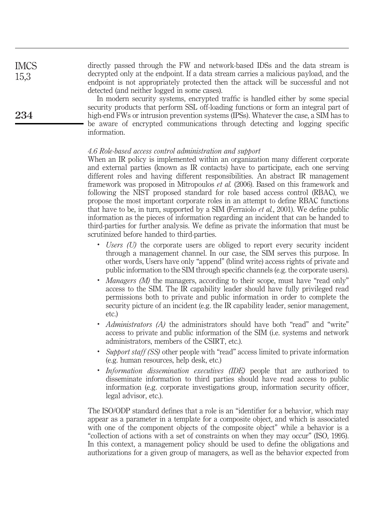| <b>IMCS</b><br>15,3 | directly passed through the FW and network-based IDSs and the data stream is<br>decrypted only at the endpoint. If a data stream carries a malicious payload, and the<br>endpoint is not appropriately protected then the attack will be successful and not |
|---------------------|-------------------------------------------------------------------------------------------------------------------------------------------------------------------------------------------------------------------------------------------------------------|
|                     | detected (and neither logged in some cases).                                                                                                                                                                                                                |
|                     | In modern security systems, encrypted traffic is handled either by some special                                                                                                                                                                             |
|                     | cognity products that partorm CCI of loading functions or form on integral part of                                                                                                                                                                          |

security products that perform SSL off-loading functions or form an integral part of high-end FWs or intrusion prevention systems (IPSs). Whatever the case, a SIM has to be aware of encrypted communications through detecting and logging specific information.

## 4.6 Role-based access control administration and support

234

When an IR policy is implemented within an organization many different corporate and external parties (known as IR contacts) have to participate, each one serving different roles and having different responsibilities. An abstract IR management framework was proposed in Mitropoulos et al. (2006). Based on this framework and following the NIST proposed standard for role based access control (RBAC), we propose the most important corporate roles in an attempt to define RBAC functions that have to be, in turn, supported by a SIM (Ferraiolo  $et$   $al$ , 2001). We define public information as the pieces of information regarding an incident that can be handed to third-parties for further analysis. We define as private the information that must be scrutinized before handed to third-parties.

- . Users (U) the corporate users are obliged to report every security incident through a management channel. In our case, the SIM serves this purpose. In other words, Users have only "append" (blind write) access rights of private and public information to the SIM through specific channels (e.g. the corporate users).
- *Managers (M)* the managers, according to their scope, must have "read only" access to the SIM. The IR capability leader should have fully privileged read permissions both to private and public information in order to complete the security picture of an incident (e.g. the IR capability leader, senior management, etc.)
- . Administrators (A) the administrators should have both "read" and "write" access to private and public information of the SIM (i.e. systems and network administrators, members of the CSIRT, etc.).
- . Support staff (SS) other people with "read" access limited to private information (e.g. human resources, help desk, etc.)
- . Information dissemination executives (IDE) people that are authorized to disseminate information to third parties should have read access to public information (e.g. corporate investigations group, information security officer, legal advisor, etc.).

The ISO/ODP standard defines that a role is an "identifier for a behavior, which may appear as a parameter in a template for a composite object, and which is associated with one of the component objects of the composite object" while a behavior is a "collection of actions with a set of constraints on when they may occur" (ISO, 1995). In this context, a management policy should be used to define the obligations and authorizations for a given group of managers, as well as the behavior expected from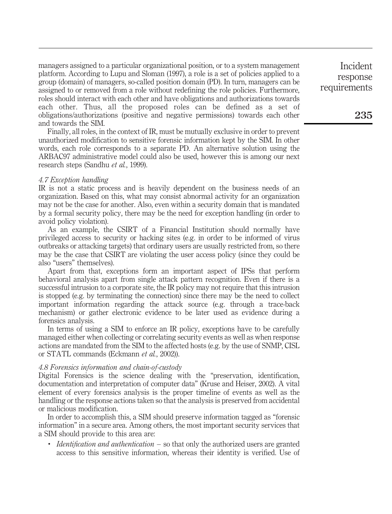managers assigned to a particular organizational position, or to a system management platform. According to Lupu and Sloman (1997), a role is a set of policies applied to a group (domain) of managers, so-called position domain (PD). In turn, managers can be assigned to or removed from a role without redefining the role policies. Furthermore, roles should interact with each other and have obligations and authorizations towards each other. Thus, all the proposed roles can be defined as a set of obligations/authorizations (positive and negative permissions) towards each other and towards the SIM.

Finally, all roles, in the context of IR, must be mutually exclusive in order to prevent unauthorized modification to sensitive forensic information kept by the SIM. In other words, each role corresponds to a separate PD. An alternative solution using the ARBAC97 administrative model could also be used, however this is among our next research steps (Sandhu et al., 1999).

#### 4.7 Exception handling

IR is not a static process and is heavily dependent on the business needs of an organization. Based on this, what may consist abnormal activity for an organization may not be the case for another. Also, even within a security domain that is mandated by a formal security policy, there may be the need for exception handling (in order to avoid policy violation).

As an example, the CSIRT of a Financial Institution should normally have privileged access to security or hacking sites (e.g. in order to be informed of virus outbreaks or attacking targets) that ordinary users are usually restricted from, so there may be the case that CSIRT are violating the user access policy (since they could be also "users" themselves).

Apart from that, exceptions form an important aspect of IPSs that perform behavioral analysis apart from single attack pattern recognition. Even if there is a successful intrusion to a corporate site, the IR policy may not require that this intrusion is stopped (e.g. by terminating the connection) since there may be the need to collect important information regarding the attack source (e.g. through a trace-back mechanism) or gather electronic evidence to be later used as evidence during a forensics analysis.

In terms of using a SIM to enforce an IR policy, exceptions have to be carefully managed either when collecting or correlating security events as well as when response actions are mandated from the SIM to the affected hosts (e.g. by the use of SNMP, CISL or STATL commands (Eckmann et al., 2002)).

#### 4.8 Forensics information and chain-of-custody

Digital Forensics is the science dealing with the "preservation, identification, documentation and interpretation of computer data" (Kruse and Heiser, 2002). A vital element of every forensics analysis is the proper timeline of events as well as the handling or the response actions taken so that the analysis is preserved from accidental or malicious modification.

In order to accomplish this, a SIM should preserve information tagged as "forensic information" in a secure area. Among others, the most important security services that a SIM should provide to this area are:

. Identification and authentication – so that only the authorized users are granted access to this sensitive information, whereas their identity is verified. Use of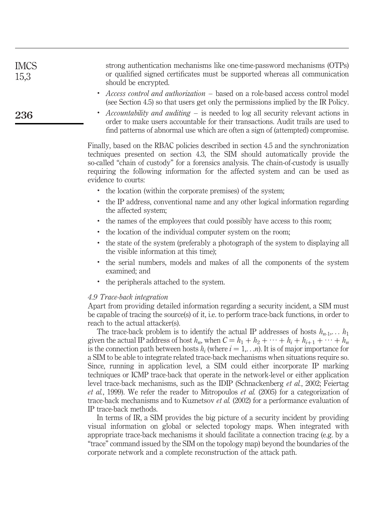| <b>IMCS</b><br>15,3 | strong authentication mechanisms like one-time-password mechanisms (OTPs)<br>or qualified signed certificates must be supported whereas all communication<br>should be encrypted.                                                                        |
|---------------------|----------------------------------------------------------------------------------------------------------------------------------------------------------------------------------------------------------------------------------------------------------|
|                     | • Access control and authorization – based on a role-based access control model<br>(see Section 4.5) so that users get only the permissions implied by the IR Policy.                                                                                    |
| 236                 | • Accountability and auditing – is needed to log all security relevant actions in<br>order to make users accountable for their transactions. Audit trails are used to<br>find patterns of abnormal use which are often a sign of (attempted) compromise. |

Finally, based on the RBAC policies described in section 4.5 and the synchronization techniques presented on section 4.3, the SIM should automatically provide the so-called "chain of custody" for a forensics analysis. The chain-of-custody is usually requiring the following information for the affected system and can be used as evidence to courts:

- . the location (within the corporate premises) of the system;
- . the IP address, conventional name and any other logical information regarding the affected system;
- . the names of the employees that could possibly have access to this room;
- . the location of the individual computer system on the room;
- . the state of the system (preferably a photograph of the system to displaying all the visible information at this time);
- . the serial numbers, models and makes of all the components of the system examined; and
- . the peripherals attached to the system.

#### 4.9 Trace-back integration

Apart from providing detailed information regarding a security incident, a SIM must be capable of tracing the source(s) of it, i.e. to perform trace-back functions, in order to reach to the actual attacker(s).

The trace-back problem is to identify the actual IP addresses of hosts  $h_{n-1}, \ldots, h_1$ given the actual IP address of host  $h_n$ , when  $C = h_1 + h_2 + \cdots + h_i + h_{i+1} + \cdots + h_n$ is the connection path between hosts  $h_i$  (where  $i = 1, \ldots n$ ). It is of major importance for a SIM to be able to integrate related trace-back mechanisms when situations require so. Since, running in application level, a SIM could either incorporate IP marking techniques or ICMP trace-back that operate in the network-level or either application level trace-back mechanisms, such as the IDIP (Schnackenberg et al., 2002; Feiertag et al., 1999). We refer the reader to Mitropoulos et al. (2005) for a categorization of trace-back mechanisms and to Kuznetsov et al. (2002) for a performance evaluation of IP trace-back methods.

In terms of IR, a SIM provides the big picture of a security incident by providing visual information on global or selected topology maps. When integrated with appropriate trace-back mechanisms it should facilitate a connection tracing (e.g. by a "trace" command issued by the SIM on the topology map) beyond the boundaries of the corporate network and a complete reconstruction of the attack path.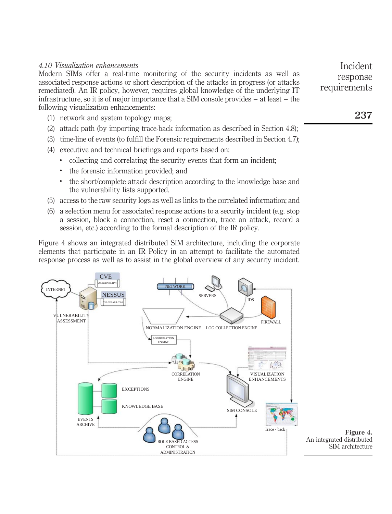# 4.10 Visualization enhancements

Modern SIMs offer a real-time monitoring of the security incidents as well as associated response actions or short description of the attacks in progress (or attacks remediated). An IR policy, however, requires global knowledge of the underlying IT infrastructure, so it is of major importance that a SIM console provides – at least – the following visualization enhancements:

- (1) network and system topology maps;
- (2) attack path (by importing trace-back information as described in Section 4.8);
- (3) time-line of events (to fulfill the Forensic requirements described in Section 4.7);
- (4) executive and technical briefings and reports based on:
	- . collecting and correlating the security events that form an incident;
	- . the forensic information provided; and
	- . the short/complete attack description according to the knowledge base and the vulnerability lists supported.
- (5) access to the raw security logs as well as links to the correlated information; and
- (6) a selection menu for associated response actions to a security incident (e.g. stop a session, block a connection, reset a connection, trace an attack, record a session, etc.) according to the formal description of the IR policy.

Figure 4 shows an integrated distributed SIM architecture, including the corporate elements that participate in an IR Policy in an attempt to facilitate the automated response process as well as to assist in the global overview of any security incident.

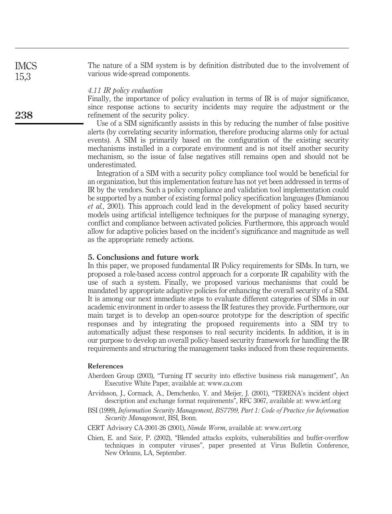The nature of a SIM system is by definition distributed due to the involvement of various wide-spread components.

#### 4.11 IR policy evaluation

Finally, the importance of policy evaluation in terms of IR is of major significance, since response actions to security incidents may require the adjustment or the refinement of the security policy.

Use of a SIM significantly assists in this by reducing the number of false positive alerts (by correlating security information, therefore producing alarms only for actual events). A SIM is primarily based on the configuration of the existing security mechanisms installed in a corporate environment and is not itself another security mechanism, so the issue of false negatives still remains open and should not be underestimated.

Integration of a SIM with a security policy compliance tool would be beneficial for an organization, but this implementation feature has not yet been addressed in terms of IR by the vendors. Such a policy compliance and validation tool implementation could be supported by a number of existing formal policy specification languages (Damianou et al., 2001). This approach could lead in the development of policy based security models using artificial intelligence techniques for the purpose of managing synergy, conflict and compliance between activated policies. Furthermore, this approach would allow for adaptive policies based on the incident's significance and magnitude as well as the appropriate remedy actions.

#### 5. Conclusions and future work

In this paper, we proposed fundamental IR Policy requirements for SIMs. In turn, we proposed a role-based access control approach for a corporate IR capability with the use of such a system. Finally, we proposed various mechanisms that could be mandated by appropriate adaptive policies for enhancing the overall security of a SIM. It is among our next immediate steps to evaluate different categories of SIMs in our academic environment in order to assess the IR features they provide. Furthermore, our main target is to develop an open-source prototype for the description of specific responses and by integrating the proposed requirements into a SIM try to automatically adjust these responses to real security incidents. In addition, it is in our purpose to develop an overall policy-based security framework for handling the IR requirements and structuring the management tasks induced from these requirements.

#### References

- Aberdeen Group (2003), "Turning IT security into effective business risk management", An Executive White Paper, available at: www.ca.com
- Arvidsson, J., Cormack, A., Demchenko, Y. and Meijer, J. (2001), "TERENA's incident object description and exchange format requirements", RFC 3067, available at: www.ietf.org
- BSI (1999), Information Security Management, BS7799, Part 1: Code of Practice for Information Security Management, BSI, Bonn.
- CERT Advisory CA-2001-26 (2001), Nimda Worm, available at: www.cert.org
- Chien, E. and Ször, P. (2002), "Blended attacks exploits, vulnerabilities and buffer-overflow techniques in computer viruses", paper presented at Virus Bulletin Conference, New Orleans, LA, September.

IMCS 15,3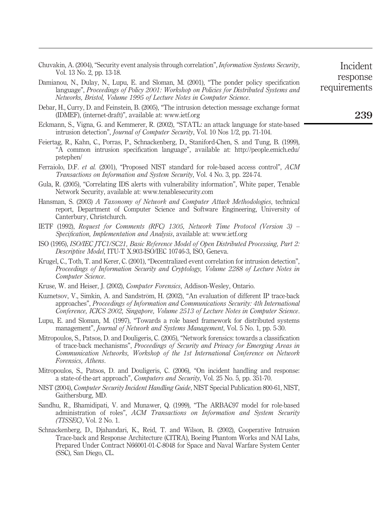|                           | Chuvakin, A. (2004), "Security event analysis through correlation", <i>Information Systems Security</i> , |  |  |
|---------------------------|-----------------------------------------------------------------------------------------------------------|--|--|
| Vol. 13 No. 2, pp. 13-18. |                                                                                                           |  |  |

- Damianou, N., Dulay, N., Lupu, E. and Sloman, M. (2001), "The ponder policy specification language", Proceedings of Policy 2001: Workshop on Policies for Distributed Systems and Networks, Bristol, Volume 1995 of Lecture Notes in Computer Science.
- Debar, H., Curry, D. and Feinstein, B. (2005), "The intrusion detection message exchange format (IDMEF), (internet-draft)", available at: www.ietf.org
- Eckmann, S., Vigna, G. and Kemmerer, R. (2002), "STATL: an attack language for state-based intrusion detection", Journal of Computer Security, Vol. 10 Nos 1/2, pp. 71-104.
- Feiertag, R., Kahn, C., Porras, P., Schnackenberg, D., Staniford-Chen, S. and Tung, B. (1999), "A common intrusion specification language", available at: http://people.emich.edu/ pstephen/
- Ferraiolo, D.F. et al. (2001), "Proposed NIST standard for role-based access control", ACM Transactions on Information and System Security, Vol. 4 No. 3, pp. 224-74.
- Gula, R. (2005), "Correlating IDS alerts with vulnerability information", White paper, Tenable Network Security, available at: www.tenablesecurity.com
- Hansman, S. (2003) A Taxonomy of Network and Computer Attack Methodologies, technical report, Department of Computer Science and Software Engineering, University of Canterbury, Christchurch.
- IETF (1992), Request for Comments (RFC) 1305, Network Time Protocol (Version 3) Specification, Implementation and Analysis, available at: www.ietf.org
- ISO (1995), ISO/IEC JTC1/SC21, Basic Reference Model of Open Distributed Processing, Part 2: Descriptive Model, ITU-T X.903-ISO/IEC 10746-3, ISO, Geneva.
- Krugel, C., Toth, T. and Kerer, C. (2001), "Decentralized event correlation for intrusion detection", Proceedings of Information Security and Cryptology, Volume 2288 of Lecture Notes in Computer Science.
- Kruse, W. and Heiser, J. (2002), Computer Forensics, Addison-Wesley, Ontario.
- Kuznetsov, V., Simkin, A. and Sandström, H. (2002), "An evaluation of different IP trace-back approaches", Proceedings of Information and Communications Security: 4th International Conference, ICICS 2002, Singapore, Volume 2513 of Lecture Notes in Computer Science.
- Lupu, E. and Sloman, M. (1997), "Towards a role based framework for distributed systems management", Journal of Network and Systems Management, Vol. 5 No. 1, pp. 5-30.
- Mitropoulos, S., Patsos, D. and Douligeris, C. (2005), "Network forensics: towards a classification of trace-back mechanisms", Proceedings of Security and Privacy for Emerging Areas in Communication Networks, Workshop of the 1st International Conference on Network Forensics, Athens.
- Mitropoulos, S., Patsos, D. and Douligeris, C. (2006), "On incident handling and response: a state-of-the-art approach", Computers and Security, Vol. 25 No. 5, pp. 351-70.
- NIST (2004), Computer Security Incident Handling Guide, NIST Special Publication 800-61, NIST, Gaithersburg, MD.
- Sandhu, R., Bhamidipati, V. and Munawer, Q. (1999), "The ARBAC97 model for role-based administration of roles", ACM Transactions on Information and System Security (TISSEC), Vol. 2 No. 1.
- Schnackenberg, D., Djahandari, K., Reid, T. and Wilson, B. (2002), Cooperative Intrusion Trace-back and Response Architecture (CITRA), Boeing Phantom Works and NAI Labs, Prepared Under Contract N66001-01-C-8048 for Space and Naval Warfare System Center (SSC), San Diego, CL.

requirements

239

Incident response